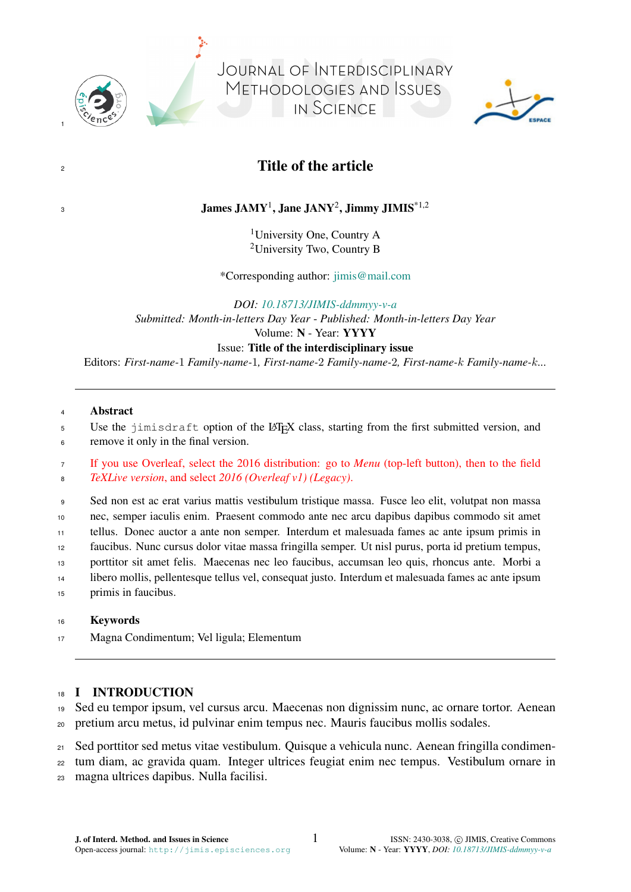

1

3

JOURNAL OF INTERDISCIPLINARY METHODOLOGIES AND ISSUES IN SCIENCE



# 2

# James JAMY<sup>1</sup>, Jane JANY<sup>2</sup>, Jimmy JIMIS<sup>\*1,2</sup>

<sup>1</sup>University One, Country A <sup>2</sup>University Two, Country B

\*Corresponding author: [jimis@mail.com](mailto:)

*DOI: [10.18713/JIMIS-ddmmyy-v-a](https://doi.org/10.18713/JIMIS-ddmmyy-v-a)*

*Submitted: Month-in-letters Day Year* - *Published: Month-in-letters Day Year* Volume: N - Year: YYYY

#### Issue: Title of the interdisciplinary issue

Editors: *First-name-*1 *Family-name-*1*, First-name-*2 *Family-name-*2*, First-name-*k *Family-name-*k*...*

#### <sup>4</sup> Abstract

5 Use the jimisdraft option of the LAT<sub>EX</sub> class, starting from the first submitted version, and

<sup>6</sup> remove it only in the final version.

<sup>7</sup> If you use Overleaf, select the 2016 distribution: go to *Menu* (top-left button), then to the field <sup>8</sup> *TeXLive version*, and select *2016 (Overleaf v1) (Legacy)*.

 Sed non est ac erat varius mattis vestibulum tristique massa. Fusce leo elit, volutpat non massa nec, semper iaculis enim. Praesent commodo ante nec arcu dapibus dapibus commodo sit amet tellus. Donec auctor a ante non semper. Interdum et malesuada fames ac ante ipsum primis in faucibus. Nunc cursus dolor vitae massa fringilla semper. Ut nisl purus, porta id pretium tempus, porttitor sit amet felis. Maecenas nec leo faucibus, accumsan leo quis, rhoncus ante. Morbi a libero mollis, pellentesque tellus vel, consequat justo. Interdum et malesuada fames ac ante ipsum primis in faucibus.

#### <sup>16</sup> Keywords

<sup>17</sup> Magna Condimentum; Vel ligula; Elementum

# 18 I INTRODUCTION

<sup>19</sup> Sed eu tempor ipsum, vel cursus arcu. Maecenas non dignissim nunc, ac ornare tortor. Aenean

<sup>20</sup> pretium arcu metus, id pulvinar enim tempus nec. Mauris faucibus mollis sodales.

<sup>21</sup> Sed porttitor sed metus vitae vestibulum. Quisque a vehicula nunc. Aenean fringilla condimen-

<sup>22</sup> tum diam, ac gravida quam. Integer ultrices feugiat enim nec tempus. Vestibulum ornare in

<sup>23</sup> magna ultrices dapibus. Nulla facilisi.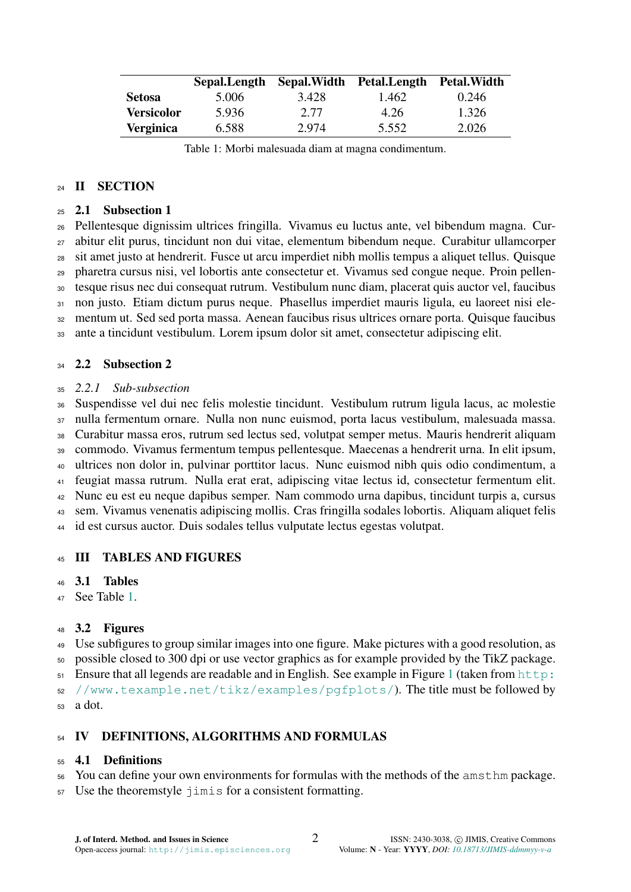<span id="page-1-0"></span>

|                   | Sepal.Length | Sepal.Width | Petal.Length | <b>Petal.Width</b> |
|-------------------|--------------|-------------|--------------|--------------------|
| <b>Setosa</b>     | 5.006        | 3.428       | 1.462        | 0.246              |
| <b>Versicolor</b> | 5.936        | 2.77        | 4.26         | 1.326              |
| <b>Verginica</b>  | 6.588        | 2.974       | 5.552        | 2.026              |

Table 1: Morbi malesuada diam at magna condimentum.

#### 24 II SECTION

#### 2.1 Subsection 1

 Pellentesque dignissim ultrices fringilla. Vivamus eu luctus ante, vel bibendum magna. Cur- abitur elit purus, tincidunt non dui vitae, elementum bibendum neque. Curabitur ullamcorper sit amet justo at hendrerit. Fusce ut arcu imperdiet nibh mollis tempus a aliquet tellus. Quisque pharetra cursus nisi, vel lobortis ante consectetur et. Vivamus sed congue neque. Proin pellen- tesque risus nec dui consequat rutrum. Vestibulum nunc diam, placerat quis auctor vel, faucibus non justo. Etiam dictum purus neque. Phasellus imperdiet mauris ligula, eu laoreet nisi ele- mentum ut. Sed sed porta massa. Aenean faucibus risus ultrices ornare porta. Quisque faucibus ante a tincidunt vestibulum. Lorem ipsum dolor sit amet, consectetur adipiscing elit.

### 34 2.2 Subsection 2

### *2.2.1 Sub-subsection*

 Suspendisse vel dui nec felis molestie tincidunt. Vestibulum rutrum ligula lacus, ac molestie nulla fermentum ornare. Nulla non nunc euismod, porta lacus vestibulum, malesuada massa. Curabitur massa eros, rutrum sed lectus sed, volutpat semper metus. Mauris hendrerit aliquam commodo. Vivamus fermentum tempus pellentesque. Maecenas a hendrerit urna. In elit ipsum, ultrices non dolor in, pulvinar porttitor lacus. Nunc euismod nibh quis odio condimentum, a feugiat massa rutrum. Nulla erat erat, adipiscing vitae lectus id, consectetur fermentum elit. Nunc eu est eu neque dapibus semper. Nam commodo urna dapibus, tincidunt turpis a, cursus sem. Vivamus venenatis adipiscing mollis. Cras fringilla sodales lobortis. Aliquam aliquet felis id est cursus auctor. Duis sodales tellus vulputate lectus egestas volutpat.

# III TABLES AND FIGURES

#### 3.1 Tables

See Table [1.](#page-1-0)

# 3.2 Figures

 Use subfigures to group similar images into one figure. Make pictures with a good resolution, as possible closed to 300 dpi or use vector graphics as for example provided by the TikZ package.

 $51$  [E](http://www.texample.net/tikz/examples/pgfplots/)nsure that all legends are readable and in English. See example in Figure 1 (taken from [http:](http://www.texample.net/tikz/examples/pgfplots/)

[//www.texample.net/tikz/examples/pgfplots/](http://www.texample.net/tikz/examples/pgfplots/)). The title must be followed by

a dot.

# 54 IV DEFINITIONS, ALGORITHMS AND FORMULAS

# 4.1 Definitions

- You can define your own environments for formulas with the methods of the amsthm package.
- Use the theoremstyle jimis for a consistent formatting.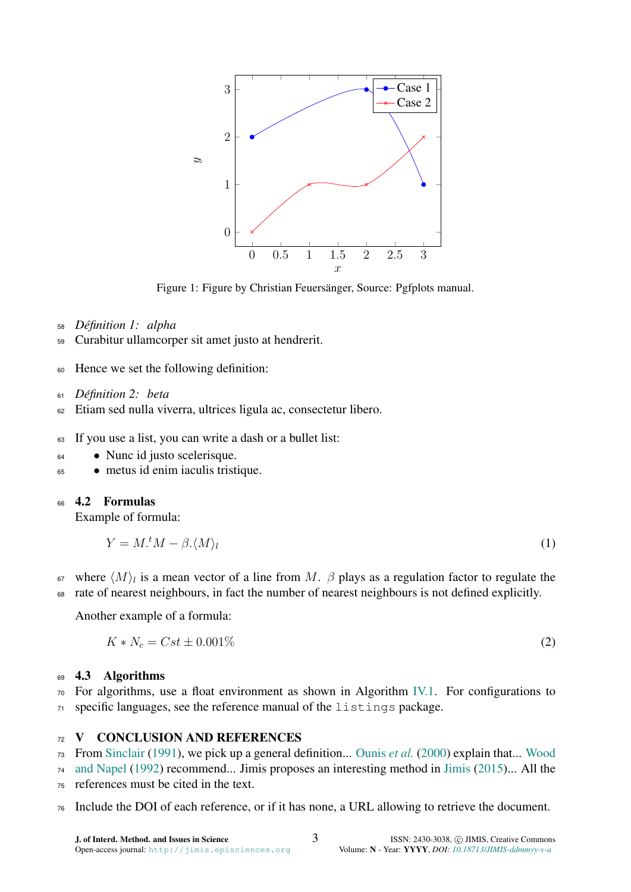<span id="page-2-0"></span>

Figure 1: Figure by Christian Feuersänger, Source: Pgfplots manual.

- <sup>58</sup> *Definition 1: alpha ´*
- <sup>59</sup> Curabitur ullamcorper sit amet justo at hendrerit.
- <sup>60</sup> Hence we set the following definition:
- <sup>61</sup> *Definition 2: beta ´*
- <sup>62</sup> Etiam sed nulla viverra, ultrices ligula ac, consectetur libero.
- <sup>63</sup> If you use a list, you can write a dash or a bullet list:
- <sup>64</sup> Nunc id justo scelerisque.
- <sup>65</sup> metus id enim iaculis tristique.

# <sup>66</sup> 4.2 Formulas

Example of formula:

$$
Y = M \cdot {}^t M - \beta \cdot \langle M \rangle_l \tag{1}
$$

<sup>67</sup> where  $\langle M \rangle$ <sub>l</sub> is a mean vector of a line from M. β plays as a regulation factor to regulate the <sup>68</sup> rate of nearest neighbours, in fact the number of nearest neighbours is not defined explicitly.

Another example of a formula:

$$
K * N_c = Cst \pm 0.001\% \tag{2}
$$

# 69 4.3 Algorithms

 $70\degree$  For algorithms, use a float environment as shown in Algorithm [IV.1.](#page-3-0) For configurations to <sup>71</sup> specific languages, see the reference manual of the listings package.

# 72 V CONCLUSION AND REFERENCES

<sup>73</sup> [F](#page-4-2)rom [Sinclair](#page-4-0) [\(1991\)](#page-4-0), we pick up a general definition... [Ounis](#page-4-1) *et al.* [\(2000\)](#page-4-1) explain that... [Wood](#page-4-2)

- <sup>74</sup> [and Napel](#page-4-2) [\(1992\)](#page-4-2) recommend... Jimis proposes an interesting method in [Jimis](#page-4-3) [\(2015\)](#page-4-3)... All the
- <sup>75</sup> references must be cited in the text.
- <sup>76</sup> Include the DOI of each reference, or if it has none, a URL allowing to retrieve the document.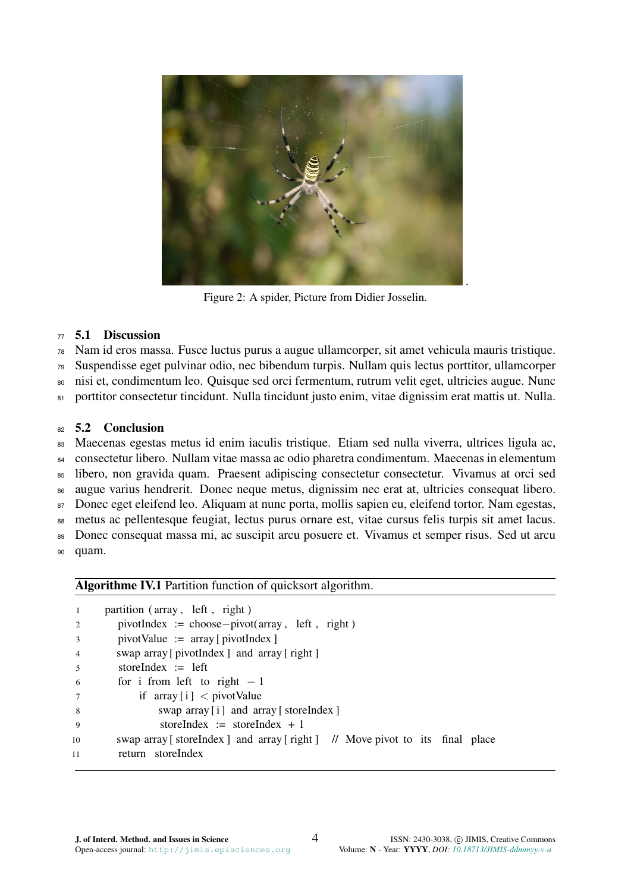

Figure 2: A spider, Picture from Didier Josselin.

### 5.1 Discussion

Nam id eros massa. Fusce luctus purus a augue ullamcorper, sit amet vehicula mauris tristique.

- Suspendisse eget pulvinar odio, nec bibendum turpis. Nullam quis lectus porttitor, ullamcorper
- nisi et, condimentum leo. Quisque sed orci fermentum, rutrum velit eget, ultricies augue. Nunc
- porttitor consectetur tincidunt. Nulla tincidunt justo enim, vitae dignissim erat mattis ut. Nulla.

# 82 5.2 Conclusion

 Maecenas egestas metus id enim iaculis tristique. Etiam sed nulla viverra, ultrices ligula ac, consectetur libero. Nullam vitae massa ac odio pharetra condimentum. Maecenas in elementum libero, non gravida quam. Praesent adipiscing consectetur consectetur. Vivamus at orci sed augue varius hendrerit. Donec neque metus, dignissim nec erat at, ultricies consequat libero. Donec eget eleifend leo. Aliquam at nunc porta, mollis sapien eu, eleifend tortor. Nam egestas, metus ac pellentesque feugiat, lectus purus ornare est, vitae cursus felis turpis sit amet lacus. Donec consequat massa mi, ac suscipit arcu posuere et. Vivamus et semper risus. Sed ut arcu quam.

# <span id="page-3-0"></span>Algorithme IV.1 Partition function of quicksort algorithm.

|                | partition (array, left, right)                                                |
|----------------|-------------------------------------------------------------------------------|
| 2              | $pivotIndex := choose-pivot(array, left, right)$                              |
| $\overline{3}$ | $pivotValue := array[pivotIndex]$                                             |
| $\overline{4}$ | swap array [pivotIndex ] and array [right ]                                   |
| $5^{\circ}$    | storeIndex $:=$ left                                                          |
| -6             | for i from left to right $-1$                                                 |
| 7              | if $array[i] < pivotValue$                                                    |
| 8              | swap array [i] and array [storeIndex]                                         |
| - 9            | storeIndex := storeIndex + 1                                                  |
| 10             | swap array [store Index ] and array [right ] // Move pivot to its final place |
| 11             | return storeIndex                                                             |
|                |                                                                               |